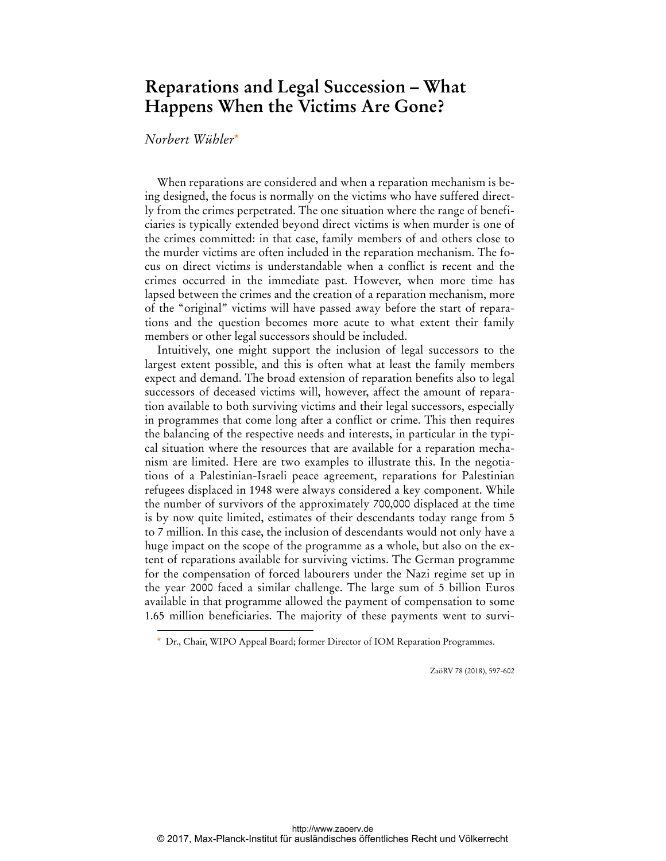## **Reparations and Legal Succession – What Happens When the Victims Are Gone?**

## *Norbert Wühler*\*

l

When reparations are considered and when a reparation mechanism is being designed, the focus is normally on the victims who have suffered directly from the crimes perpetrated. The one situation where the range of beneficiaries is typically extended beyond direct victims is when murder is one of the crimes committed: in that case, family members of and others close to the murder victims are often included in the reparation mechanism. The focus on direct victims is understandable when a conflict is recent and the crimes occurred in the immediate past. However, when more time has lapsed between the crimes and the creation of a reparation mechanism, more of the "original" victims will have passed away before the start of reparations and the question becomes more acute to what extent their family members or other legal successors should be included.

Intuitively, one might support the inclusion of legal successors to the largest extent possible, and this is often what at least the family members expect and demand. The broad extension of reparation benefits also to legal successors of deceased victims will, however, affect the amount of reparation available to both surviving victims and their legal successors, especially in programmes that come long after a conflict or crime. This then requires the balancing of the respective needs and interests, in particular in the typical situation where the resources that are available for a reparation mechanism are limited. Here are two examples to illustrate this. In the negotiations of a Palestinian-Israeli peace agreement, reparations for Palestinian refugees displaced in 1948 were always considered a key component. While the number of survivors of the approximately 700,000 displaced at the time is by now quite limited, estimates of their descendants today range from 5 to 7 million. In this case, the inclusion of descendants would not only have a huge impact on the scope of the programme as a whole, but also on the extent of reparations available for surviving victims. The German programme for the compensation of forced labourers under the Nazi regime set up in the year 2000 faced a similar challenge. The large sum of 5 billion Euros available in that programme allowed the payment of compensation to some 1.65 million beneficiaries. The majority of these payments went to survi-

ZaöRV 78 (2018), 597-602

<sup>\*</sup> Dr., Chair, WIPO Appeal Board; former Director of IOM Reparation Programmes.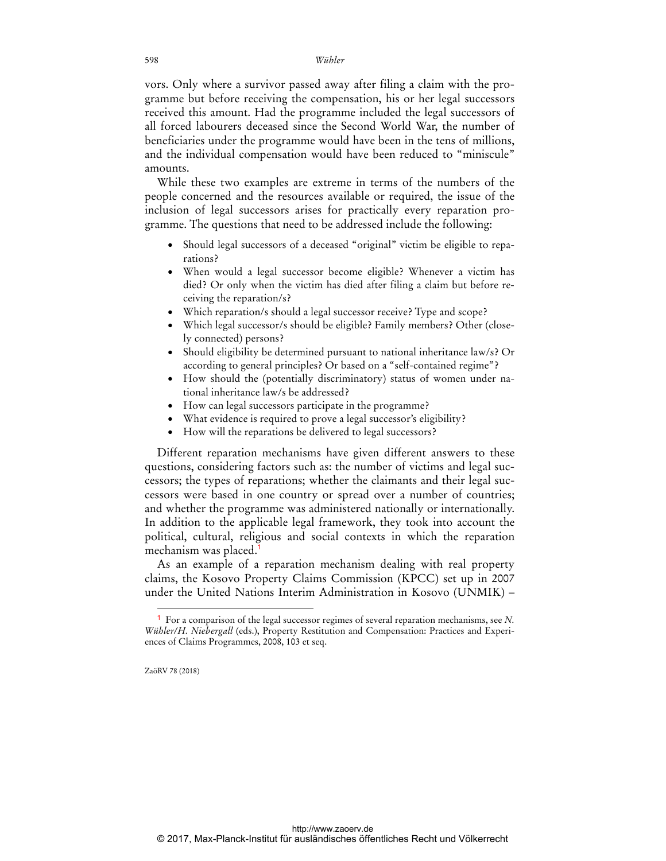## 598 *Wühler*

vors. Only where a survivor passed away after filing a claim with the programme but before receiving the compensation, his or her legal successors received this amount. Had the programme included the legal successors of all forced labourers deceased since the Second World War, the number of beneficiaries under the programme would have been in the tens of millions, and the individual compensation would have been reduced to "miniscule" amounts.

While these two examples are extreme in terms of the numbers of the people concerned and the resources available or required, the issue of the inclusion of legal successors arises for practically every reparation programme. The questions that need to be addressed include the following:

- Should legal successors of a deceased "original" victim be eligible to reparations?
- When would a legal successor become eligible? Whenever a victim has died? Or only when the victim has died after filing a claim but before receiving the reparation/s?
- Which reparation/s should a legal successor receive? Type and scope?
- Which legal successor/s should be eligible? Family members? Other (closely connected) persons?
- Should eligibility be determined pursuant to national inheritance law/s? Or according to general principles? Or based on a "self-contained regime"?
- How should the (potentially discriminatory) status of women under national inheritance law/s be addressed?
- How can legal successors participate in the programme?
- What evidence is required to prove a legal successor's eligibility?
- How will the reparations be delivered to legal successors?

Different reparation mechanisms have given different answers to these questions, considering factors such as: the number of victims and legal successors; the types of reparations; whether the claimants and their legal successors were based in one country or spread over a number of countries; and whether the programme was administered nationally or internationally. In addition to the applicable legal framework, they took into account the political, cultural, religious and social contexts in which the reparation mechanism was placed.<sup>1</sup>

As an example of a reparation mechanism dealing with real property claims, the Kosovo Property Claims Commission (KPCC) set up in 2007 under the United Nations Interim Administration in Kosovo (UNMIK) –

ZaöRV 78 (2018)

 $\overline{a}$ 

<sup>1</sup> For a comparison of the legal successor regimes of several reparation mechanisms, see *N. Wühler/H. Niebergall* (eds.), Property Restitution and Compensation: Practices and Experiences of Claims Programmes, 2008, 103 et seq.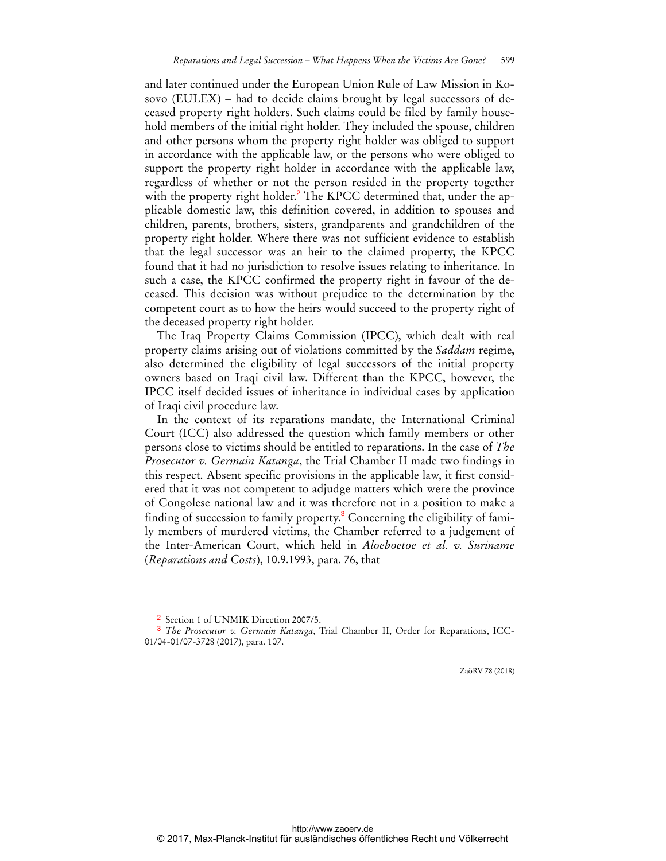and later continued under the European Union Rule of Law Mission in Kosovo (EULEX) – had to decide claims brought by legal successors of deceased property right holders. Such claims could be filed by family household members of the initial right holder. They included the spouse, children and other persons whom the property right holder was obliged to support in accordance with the applicable law, or the persons who were obliged to support the property right holder in accordance with the applicable law, regardless of whether or not the person resided in the property together with the property right holder.<sup>2</sup> The KPCC determined that, under the applicable domestic law, this definition covered, in addition to spouses and children, parents, brothers, sisters, grandparents and grandchildren of the property right holder. Where there was not sufficient evidence to establish that the legal successor was an heir to the claimed property, the KPCC found that it had no jurisdiction to resolve issues relating to inheritance. In such a case, the KPCC confirmed the property right in favour of the deceased. This decision was without prejudice to the determination by the competent court as to how the heirs would succeed to the property right of the deceased property right holder.

The Iraq Property Claims Commission (IPCC), which dealt with real property claims arising out of violations committed by the *Saddam* regime, also determined the eligibility of legal successors of the initial property owners based on Iraqi civil law. Different than the KPCC, however, the IPCC itself decided issues of inheritance in individual cases by application of Iraqi civil procedure law.

In the context of its reparations mandate, the International Criminal Court (ICC) also addressed the question which family members or other persons close to victims should be entitled to reparations. In the case of *The Prosecutor v. Germain Katanga*, the Trial Chamber II made two findings in this respect. Absent specific provisions in the applicable law, it first considered that it was not competent to adjudge matters which were the province of Congolese national law and it was therefore not in a position to make a finding of succession to family property.<sup>3</sup> Concerning the eligibility of family members of murdered victims, the Chamber referred to a judgement of the Inter-American Court, which held in *Aloeboetoe et al. v. Suriname*  (*Reparations and Costs*), 10.9.1993, para. 76, that

 $\overline{a}$ 

ZaöRV 78 (2018)

<sup>2</sup> Section 1 of UNMIK Direction 2007/5.

<sup>3</sup> *The Prosecutor v. Germain Katanga*, Trial Chamber II, Order for Reparations, ICC-01/04-01/07-3728 (2017), para. 107.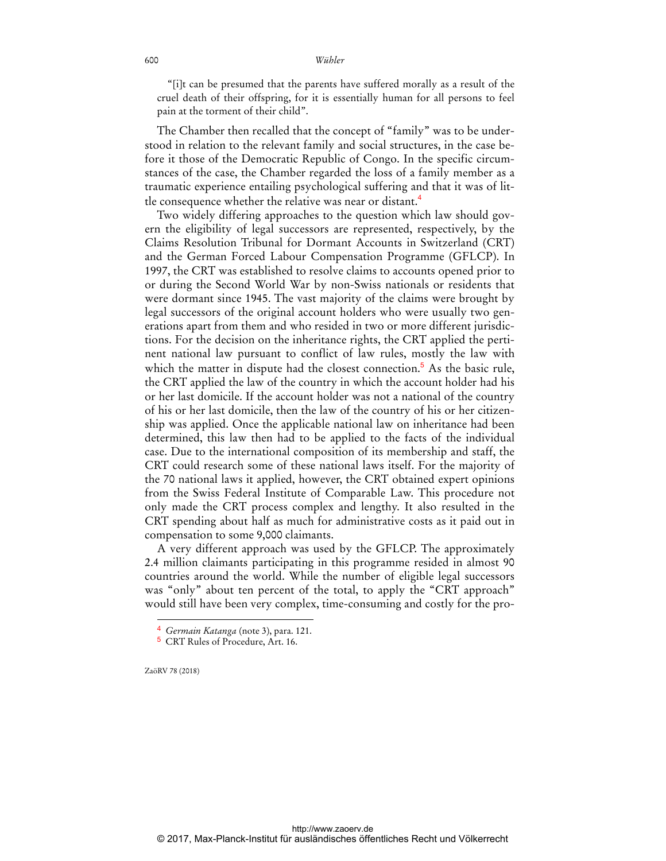600 *Wühler*

"[i]t can be presumed that the parents have suffered morally as a result of the cruel death of their offspring, for it is essentially human for all persons to feel pain at the torment of their child".

The Chamber then recalled that the concept of "family" was to be understood in relation to the relevant family and social structures, in the case before it those of the Democratic Republic of Congo. In the specific circumstances of the case, the Chamber regarded the loss of a family member as a traumatic experience entailing psychological suffering and that it was of little consequence whether the relative was near or distant.<sup>4</sup>

Two widely differing approaches to the question which law should govern the eligibility of legal successors are represented, respectively, by the Claims Resolution Tribunal for Dormant Accounts in Switzerland (CRT) and the German Forced Labour Compensation Programme (GFLCP). In 1997, the CRT was established to resolve claims to accounts opened prior to or during the Second World War by non-Swiss nationals or residents that were dormant since 1945. The vast majority of the claims were brought by legal successors of the original account holders who were usually two generations apart from them and who resided in two or more different jurisdictions. For the decision on the inheritance rights, the CRT applied the pertinent national law pursuant to conflict of law rules, mostly the law with which the matter in dispute had the closest connection.<sup>5</sup> As the basic rule, the CRT applied the law of the country in which the account holder had his or her last domicile. If the account holder was not a national of the country of his or her last domicile, then the law of the country of his or her citizenship was applied. Once the applicable national law on inheritance had been determined, this law then had to be applied to the facts of the individual case. Due to the international composition of its membership and staff, the CRT could research some of these national laws itself. For the majority of the 70 national laws it applied, however, the CRT obtained expert opinions from the Swiss Federal Institute of Comparable Law. This procedure not only made the CRT process complex and lengthy. It also resulted in the CRT spending about half as much for administrative costs as it paid out in compensation to some 9,000 claimants.

A very different approach was used by the GFLCP. The approximately 2.4 million claimants participating in this programme resided in almost 90 countries around the world. While the number of eligible legal successors was "only" about ten percent of the total, to apply the "CRT approach" would still have been very complex, time-consuming and costly for the pro-

ZaöRV 78 (2018)

 $\overline{a}$ 

<sup>4</sup> *Germain Katanga* (note 3), para. 121.

<sup>5</sup> CRT Rules of Procedure, Art. 16.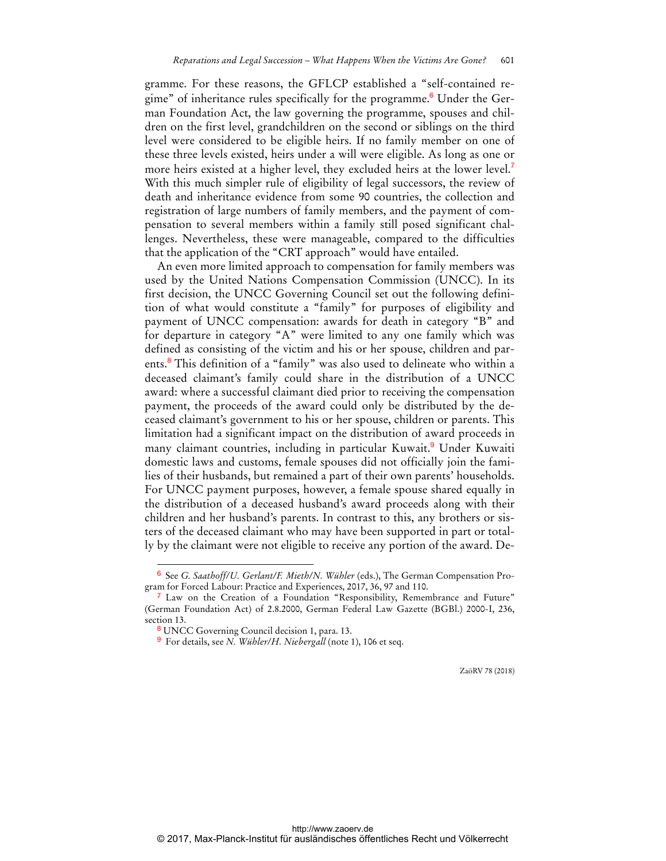gramme. For these reasons, the GFLCP established a "self-contained regime" of inheritance rules specifically for the programme.<sup>6</sup> Under the German Foundation Act, the law governing the programme, spouses and children on the first level, grandchildren on the second or siblings on the third level were considered to be eligible heirs. If no family member on one of these three levels existed, heirs under a will were eligible. As long as one or more heirs existed at a higher level, they excluded heirs at the lower level.<sup>7</sup> With this much simpler rule of eligibility of legal successors, the review of death and inheritance evidence from some 90 countries, the collection and registration of large numbers of family members, and the payment of compensation to several members within a family still posed significant challenges. Nevertheless, these were manageable, compared to the difficulties that the application of the "CRT approach" would have entailed.

An even more limited approach to compensation for family members was used by the United Nations Compensation Commission (UNCC). In its first decision, the UNCC Governing Council set out the following definition of what would constitute a "family" for purposes of eligibility and payment of UNCC compensation: awards for death in category "B" and for departure in category "A" were limited to any one family which was defined as consisting of the victim and his or her spouse, children and parents.<sup>8</sup> This definition of a "family" was also used to delineate who within a deceased claimant's family could share in the distribution of a UNCC award: where a successful claimant died prior to receiving the compensation payment, the proceeds of the award could only be distributed by the deceased claimant's government to his or her spouse, children or parents. This limitation had a significant impact on the distribution of award proceeds in many claimant countries, including in particular Kuwait.<sup>9</sup> Under Kuwaiti domestic laws and customs, female spouses did not officially join the families of their husbands, but remained a part of their own parents' households. For UNCC payment purposes, however, a female spouse shared equally in the distribution of a deceased husband's award proceeds along with their children and her husband's parents. In contrast to this, any brothers or sisters of the deceased claimant who may have been supported in part or totally by the claimant were not eligible to receive any portion of the award. De-

 $\overline{a}$ 

ZaöRV 78 (2018)

<sup>6</sup> See *G. Saathoff/U. Gerlant/F. Mieth/N. Wühler* (eds.), The German Compensation Program for Forced Labour: Practice and Experiences, 2017, 36, 97 and 110.

<sup>&</sup>lt;sup>7</sup> Law on the Creation of a Foundation "Responsibility, Remembrance and Future" (German Foundation Act) of 2.8.2000, German Federal Law Gazette (BGBl.) 2000-I, 236, section 13.

<sup>8</sup> UNCC Governing Council decision 1, para. 13.

<sup>9</sup> For details, see *N. Wühler/H. Niebergall* (note 1), 106 et seq.